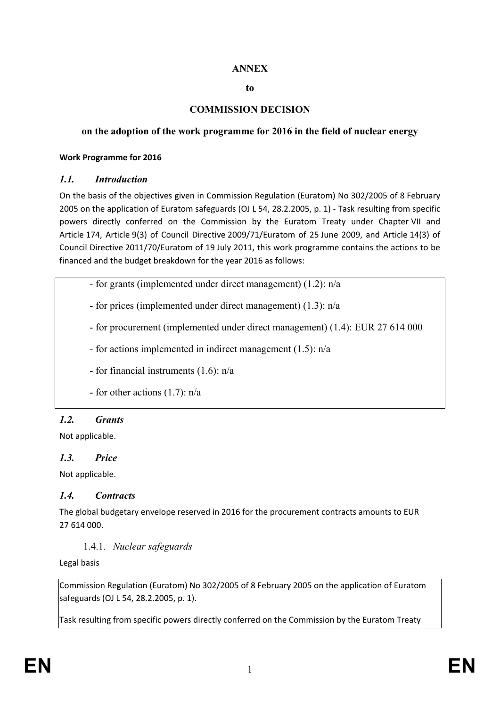## **ANNEX**

#### **to**

## **COMMISSION DECISION**

### **on the adoption of the work programme for 2016 in the field of nuclear energy**

#### **Work Programme for 2016**

### *1.1. Introduction*

On the basis of the objectives given in Commission Regulation (Euratom) No 302/2005 of 8 February 2005 on the application of Euratom safeguards (OJ L 54, 28.2.2005, p. 1) - Task resulting from specific powers directly conferred on the Commission by the Euratom Treaty under Chapter VII and Article 174, Article 9(3) of Council Directive 2009/71/Euratom of 25 June 2009, and Article 14(3) of Council Directive 2011/70/Euratom of 19 July 2011, this work programme contains the actions to be financed and the budget breakdown for the year 2016 as follows:

- for grants (implemented under direct management) (1.2): n/a

- for prices (implemented under direct management) (1.3): n/a

- for procurement (implemented under direct management) (1.4): EUR 27 614 000

- for actions implemented in indirect management (1.5): n/a

- for financial instruments (1.6): n/a

- for other actions (1.7): n/a

## *1.2. Grants*

Not applicable.

## *1.3. Price*

Not applicable.

### *1.4. Contracts*

The global budgetary envelope reserved in 2016 for the procurement contracts amounts to EUR 27 614 000.

### 1.4.1. *Nuclear safeguards*

Legal basis

Commission Regulation (Euratom) No 302/2005 of 8 February 2005 on the application of Euratom safeguards (OJ L 54, 28.2.2005, p. 1).

Task resulting from specific powers directly conferred on the Commission by the Euratom Treaty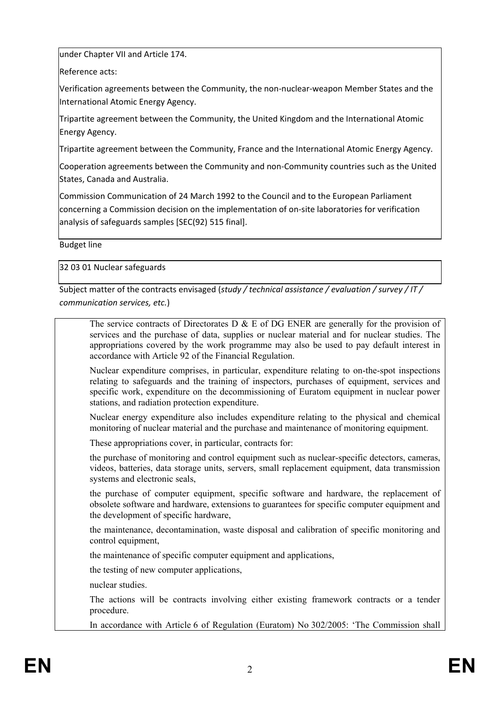under Chapter VII and Article 174.

Reference acts:

Verification agreements between the Community, the non-nuclear-weapon Member States and the International Atomic Energy Agency.

Tripartite agreement between the Community, the United Kingdom and the International Atomic Energy Agency.

Tripartite agreement between the Community, France and the International Atomic Energy Agency.

Cooperation agreements between the Community and non-Community countries such as the United States, Canada and Australia.

Commission Communication of 24 March 1992 to the Council and to the European Parliament concerning a Commission decision on the implementation of on-site laboratories for verification analysis of safeguards samples [SEC(92) 515 final].

Budget line

32 03 01 Nuclear safeguards

Subject matter of the contracts envisaged (*study / technical assistance / evaluation / survey / IT / communication services, etc.*)

The service contracts of Directorates D  $\&$  E of DG ENER are generally for the provision of services and the purchase of data, supplies or nuclear material and for nuclear studies. The appropriations covered by the work programme may also be used to pay default interest in accordance with Article 92 of the Financial Regulation.

Nuclear expenditure comprises, in particular, expenditure relating to on-the-spot inspections relating to safeguards and the training of inspectors, purchases of equipment, services and specific work, expenditure on the decommissioning of Euratom equipment in nuclear power stations, and radiation protection expenditure.

Nuclear energy expenditure also includes expenditure relating to the physical and chemical monitoring of nuclear material and the purchase and maintenance of monitoring equipment.

These appropriations cover, in particular, contracts for:

the purchase of monitoring and control equipment such as nuclear-specific detectors, cameras, videos, batteries, data storage units, servers, small replacement equipment, data transmission systems and electronic seals,

the purchase of computer equipment, specific software and hardware, the replacement of obsolete software and hardware, extensions to guarantees for specific computer equipment and the development of specific hardware,

the maintenance, decontamination, waste disposal and calibration of specific monitoring and control equipment,

the maintenance of specific computer equipment and applications,

the testing of new computer applications,

nuclear studies.

The actions will be contracts involving either existing framework contracts or a tender procedure.

In accordance with Article 6 of Regulation (Euratom) No 302/2005: 'The Commission shall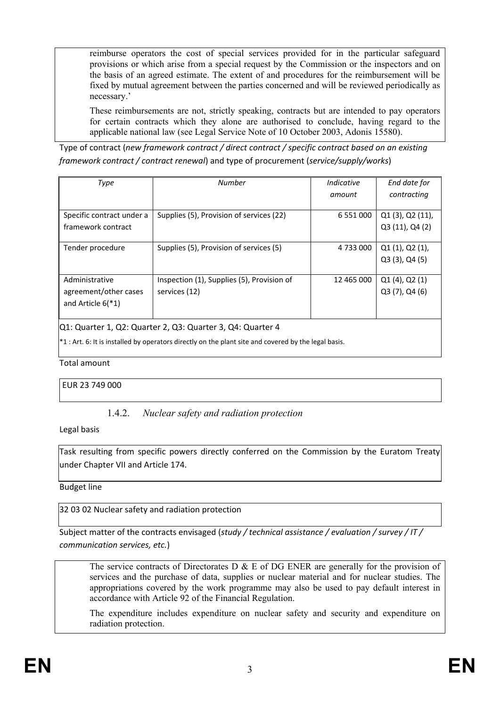reimburse operators the cost of special services provided for in the particular safeguard provisions or which arise from a special request by the Commission or the inspectors and on the basis of an agreed estimate. The extent of and procedures for the reimbursement will be fixed by mutual agreement between the parties concerned and will be reviewed periodically as necessary.'

These reimbursements are not, strictly speaking, contracts but are intended to pay operators for certain contracts which they alone are authorised to conclude, having regard to the applicable national law (see Legal Service Note of 10 October 2003, Adonis 15580).

Type of contract (*new framework contract / direct contract / specific contract based on an existing framework contract / contract renewal*) and type of procurement (*service/supply/works*)

| Type                                                       | Number                                     | Indicative    | End date for         |  |
|------------------------------------------------------------|--------------------------------------------|---------------|----------------------|--|
|                                                            |                                            |               |                      |  |
|                                                            |                                            | amount        | contracting          |  |
|                                                            |                                            |               |                      |  |
| Specific contract under a                                  | Supplies (5), Provision of services (22)   | 6 5 5 1 0 0 0 | $Q1(3)$ , $Q2(11)$ , |  |
| framework contract                                         |                                            |               | Q3 (11), Q4 (2)      |  |
|                                                            |                                            |               |                      |  |
| Tender procedure                                           | Supplies (5), Provision of services (5)    | 4 733 000     | Q1(1), Q2(1),        |  |
|                                                            |                                            |               | $Q3(3)$ , $Q4(5)$    |  |
|                                                            |                                            |               |                      |  |
| Administrative                                             | Inspection (1), Supplies (5), Provision of | 12 465 000    | $Q1(4)$ , $Q2(1)$    |  |
| agreement/other cases                                      | services (12)                              |               | $Q3(7)$ , $Q4(6)$    |  |
| and Article $6(*1)$                                        |                                            |               |                      |  |
|                                                            |                                            |               |                      |  |
| Q1: Quarter 1, Q2: Quarter 2, Q3: Quarter 3, Q4: Quarter 4 |                                            |               |                      |  |

\*1 : Art. 6: It is installed by operators directly on the plant site and covered by the legal basis.

Total amount

EUR 23 749 000

## 1.4.2. *Nuclear safety and radiation protection*

Legal basis

Task resulting from specific powers directly conferred on the Commission by the Euratom Treaty under Chapter VII and Article 174.

Budget line

32 03 02 Nuclear safety and radiation protection

Subject matter of the contracts envisaged (*study / technical assistance / evaluation / survey / IT / communication services, etc.*)

The service contracts of Directorates D  $\&$  E of DG ENER are generally for the provision of services and the purchase of data, supplies or nuclear material and for nuclear studies. The appropriations covered by the work programme may also be used to pay default interest in accordance with Article 92 of the Financial Regulation.

The expenditure includes expenditure on nuclear safety and security and expenditure on radiation protection.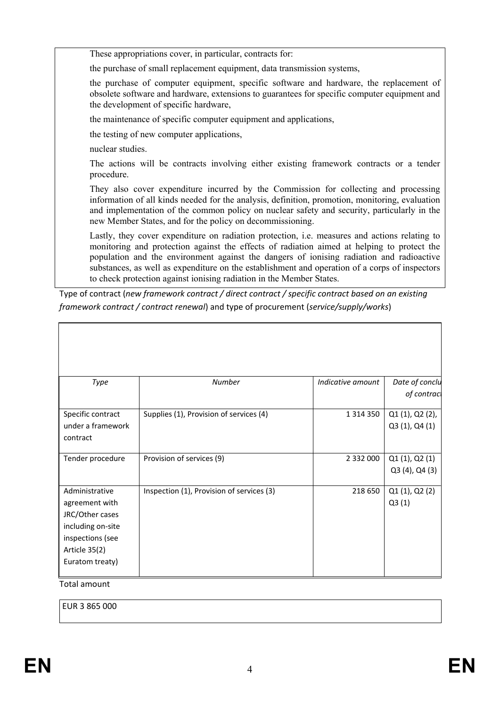These appropriations cover, in particular, contracts for:

the purchase of small replacement equipment, data transmission systems,

the purchase of computer equipment, specific software and hardware, the replacement of obsolete software and hardware, extensions to guarantees for specific computer equipment and the development of specific hardware,

the maintenance of specific computer equipment and applications,

the testing of new computer applications,

nuclear studies.

The actions will be contracts involving either existing framework contracts or a tender procedure.

They also cover expenditure incurred by the Commission for collecting and processing information of all kinds needed for the analysis, definition, promotion, monitoring, evaluation and implementation of the common policy on nuclear safety and security, particularly in the new Member States, and for the policy on decommissioning.

Lastly, they cover expenditure on radiation protection, i.e. measures and actions relating to monitoring and protection against the effects of radiation aimed at helping to protect the population and the environment against the dangers of ionising radiation and radioactive substances, as well as expenditure on the establishment and operation of a corps of inspectors to check protection against ionising radiation in the Member States.

Type of contract (*new framework contract / direct contract / specific contract based on an existing framework contract / contract renewal*) and type of procurement (*service/supply/works*)

| Type                                                                                                                             | <b>Number</b>                             | Indicative amount | Date of conclu<br>of contract     |
|----------------------------------------------------------------------------------------------------------------------------------|-------------------------------------------|-------------------|-----------------------------------|
| Specific contract<br>under a framework<br>contract                                                                               | Supplies (1), Provision of services (4)   | 1 3 1 4 3 5 0     | Q1 (1), Q2 (2),<br>Q3 (1), Q4 (1) |
| Tender procedure                                                                                                                 | Provision of services (9)                 | 2 3 3 2 0 0 0     | Q1(1), Q2(1)<br>Q3 (4), Q4 (3)    |
| Administrative<br>agreement with<br>JRC/Other cases<br>including on-site<br>inspections (see<br>Article 35(2)<br>Euratom treaty) | Inspection (1), Provision of services (3) | 218 650           | Q1(1), Q2(2)<br>Q3(1)             |

Total amount

EUR 3 865 000